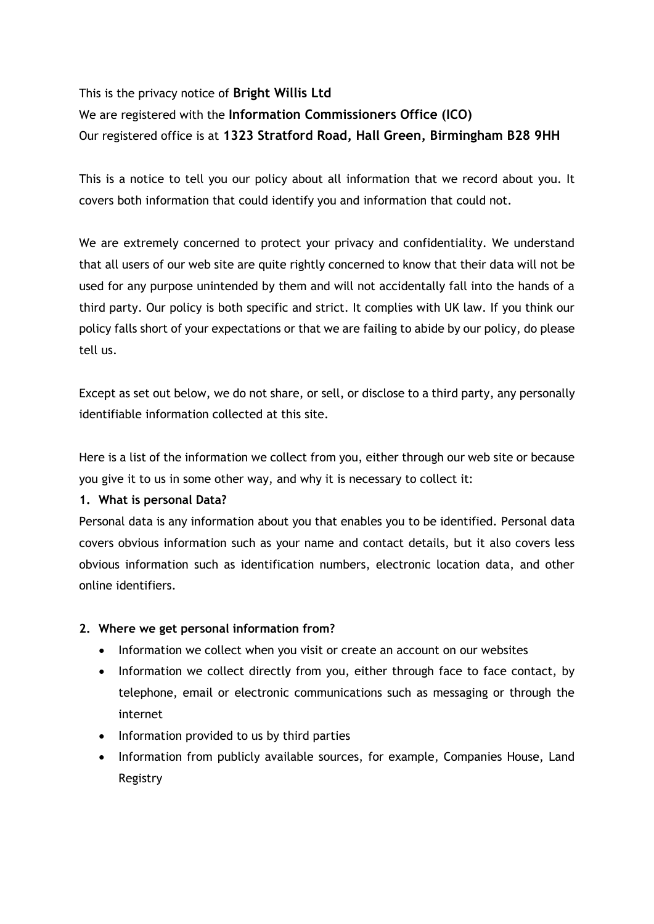# This is the privacy notice of **Bright Willis Ltd** We are registered with the **Information Commissioners Office (ICO)** Our registered office is at **1323 Stratford Road, Hall Green, Birmingham B28 9HH**

This is a notice to tell you our policy about all information that we record about you. It covers both information that could identify you and information that could not.

We are extremely concerned to protect your privacy and confidentiality. We understand that all users of our web site are quite rightly concerned to know that their data will not be used for any purpose unintended by them and will not accidentally fall into the hands of a third party. Our policy is both specific and strict. It complies with UK law. If you think our policy falls short of your expectations or that we are failing to abide by our policy, do please tell us.

Except as set out below, we do not share, or sell, or disclose to a third party, any personally identifiable information collected at this site.

Here is a list of the information we collect from you, either through our web site or because you give it to us in some other way, and why it is necessary to collect it:

# **1. What is personal Data?**

Personal data is any information about you that enables you to be identified. Personal data covers obvious information such as your name and contact details, but it also covers less obvious information such as identification numbers, electronic location data, and other online identifiers.

# **2. Where we get personal information from?**

- Information we collect when you visit or create an account on our websites
- Information we collect directly from you, either through face to face contact, by telephone, email or electronic communications such as messaging or through the internet
- Information provided to us by third parties
- Information from publicly available sources, for example, Companies House, Land Registry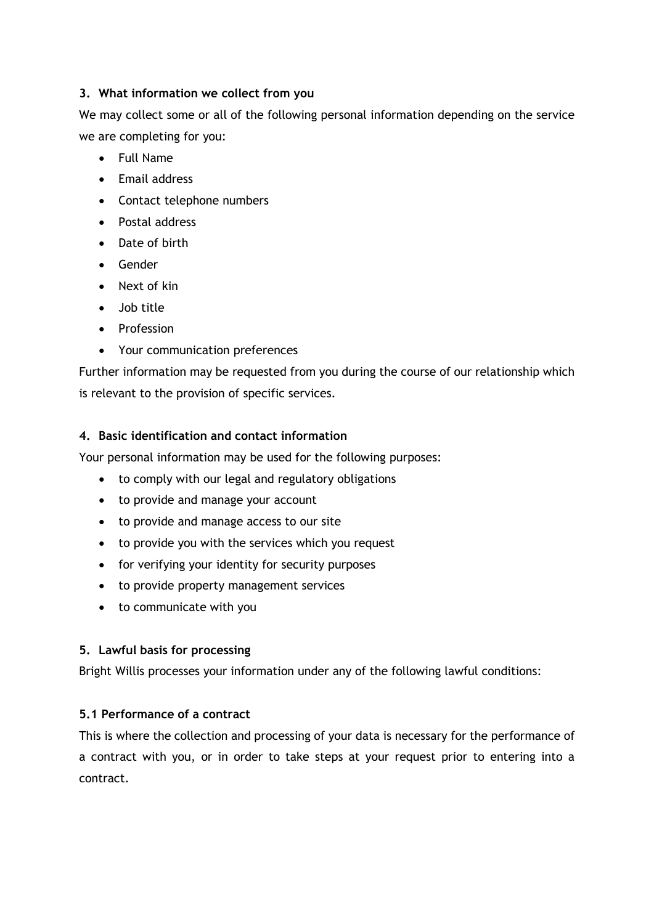# **3. What information we collect from you**

We may collect some or all of the following personal information depending on the service we are completing for you:

- Full Name
- Email address
- Contact telephone numbers
- Postal address
- Date of birth
- Gender
- Next of kin
- Job title
- Profession
- Your communication preferences

Further information may be requested from you during the course of our relationship which is relevant to the provision of specific services.

# **4. Basic identification and contact information**

Your personal information may be used for the following purposes:

- to comply with our legal and regulatory obligations
- to provide and manage your account
- to provide and manage access to our site
- to provide you with the services which you request
- for verifying your identity for security purposes
- to provide property management services
- to communicate with you

# **5. Lawful basis for processing**

Bright Willis processes your information under any of the following lawful conditions:

# **5.1 Performance of a contract**

This is where the collection and processing of your data is necessary for the performance of a contract with you, or in order to take steps at your request prior to entering into a contract.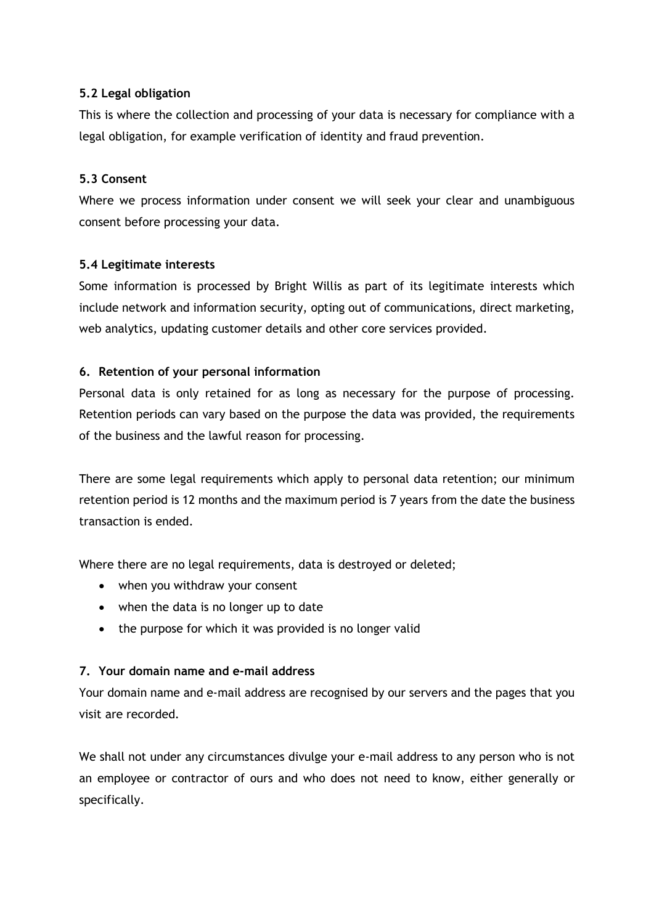# **5.2 Legal obligation**

This is where the collection and processing of your data is necessary for compliance with a legal obligation, for example verification of identity and fraud prevention.

# **5.3 Consent**

Where we process information under consent we will seek your clear and unambiguous consent before processing your data.

## **5.4 Legitimate interests**

Some information is processed by Bright Willis as part of its legitimate interests which include network and information security, opting out of communications, direct marketing, web analytics, updating customer details and other core services provided.

# **6. Retention of your personal information**

Personal data is only retained for as long as necessary for the purpose of processing. Retention periods can vary based on the purpose the data was provided, the requirements of the business and the lawful reason for processing.

There are some legal requirements which apply to personal data retention; our minimum retention period is 12 months and the maximum period is 7 years from the date the business transaction is ended.

Where there are no legal requirements, data is destroyed or deleted;

- when you withdraw your consent
- when the data is no longer up to date
- the purpose for which it was provided is no longer valid

## **7. Your domain name and e-mail address**

Your domain name and e-mail address are recognised by our servers and the pages that you visit are recorded.

We shall not under any circumstances divulge your e-mail address to any person who is not an employee or contractor of ours and who does not need to know, either generally or specifically.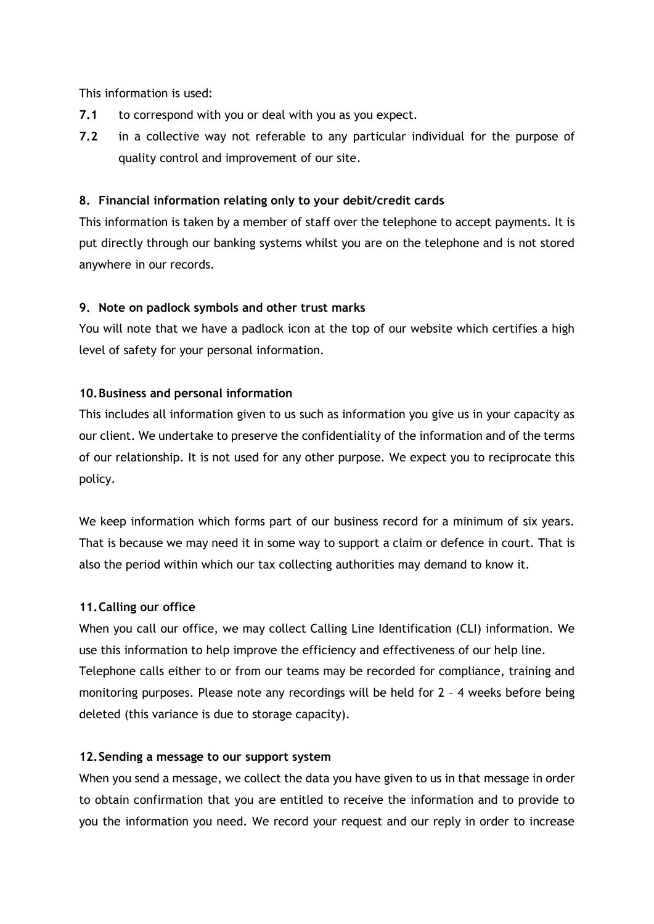This information is used:

- **7.1** to correspond with you or deal with you as you expect.
- **7.2** in a collective way not referable to any particular individual for the purpose of quality control and improvement of our site.

## **8. Financial information relating only to your debit/credit cards**

This information is taken by a member of staff over the telephone to accept payments. It is put directly through our banking systems whilst you are on the telephone and is not stored anywhere in our records.

## **9. Note on padlock symbols and other trust marks**

You will note that we have a padlock icon at the top of our website which certifies a high level of safety for your personal information.

# **10.Business and personal information**

This includes all information given to us such as information you give us in your capacity as our client. We undertake to preserve the confidentiality of the information and of the terms of our relationship. It is not used for any other purpose. We expect you to reciprocate this policy.

We keep information which forms part of our business record for a minimum of six years. That is because we may need it in some way to support a claim or defence in court. That is also the period within which our tax collecting authorities may demand to know it.

## **11.Calling our office**

When you call our office, we may collect Calling Line Identification (CLI) information. We use this information to help improve the efficiency and effectiveness of our help line. Telephone calls either to or from our teams may be recorded for compliance, training and monitoring purposes. Please note any recordings will be held for 2 – 4 weeks before being deleted (this variance is due to storage capacity).

## **12.Sending a message to our support system**

When you send a message, we collect the data you have given to us in that message in order to obtain confirmation that you are entitled to receive the information and to provide to you the information you need. We record your request and our reply in order to increase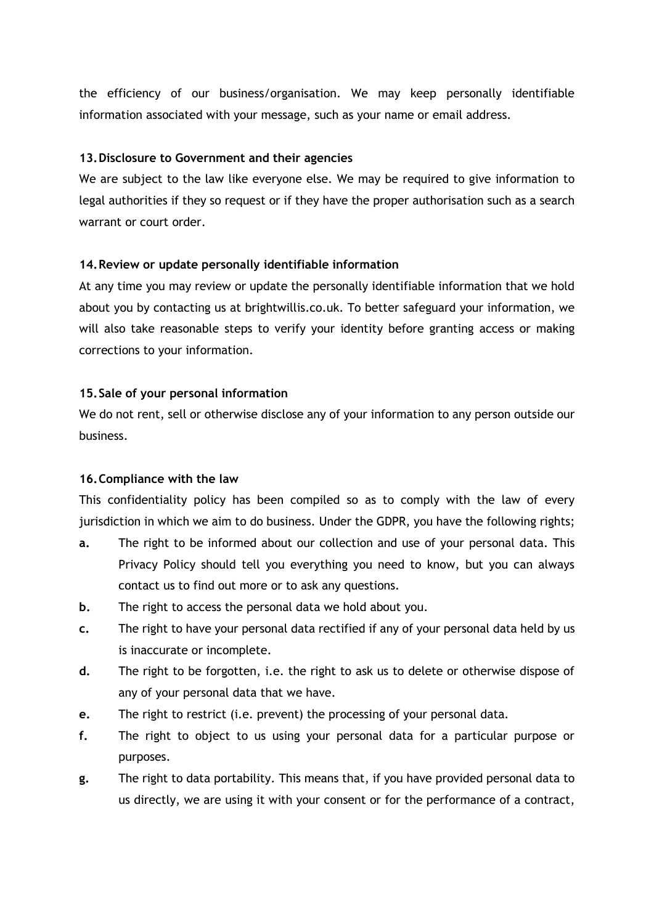the efficiency of our business/organisation. We may keep personally identifiable information associated with your message, such as your name or email address.

#### **13.Disclosure to Government and their agencies**

We are subject to the law like everyone else. We may be required to give information to legal authorities if they so request or if they have the proper authorisation such as a search warrant or court order.

#### **14.Review or update personally identifiable information**

At any time you may review or update the personally identifiable information that we hold about you by contacting us at brightwillis.co.uk. To better safeguard your information, we will also take reasonable steps to verify your identity before granting access or making corrections to your information.

#### **15.Sale of your personal information**

We do not rent, sell or otherwise disclose any of your information to any person outside our business.

#### **16.Compliance with the law**

This confidentiality policy has been compiled so as to comply with the law of every jurisdiction in which we aim to do business. Under the GDPR, you have the following rights;

- **a.** The right to be informed about our collection and use of your personal data. This Privacy Policy should tell you everything you need to know, but you can always contact us to find out more or to ask any questions.
- **b.** The right to access the personal data we hold about you.
- **c.** The right to have your personal data rectified if any of your personal data held by us is inaccurate or incomplete.
- **d.** The right to be forgotten, i.e. the right to ask us to delete or otherwise dispose of any of your personal data that we have.
- **e.** The right to restrict (i.e. prevent) the processing of your personal data.
- **f.** The right to object to us using your personal data for a particular purpose or purposes.
- **g.** The right to data portability. This means that, if you have provided personal data to us directly, we are using it with your consent or for the performance of a contract,